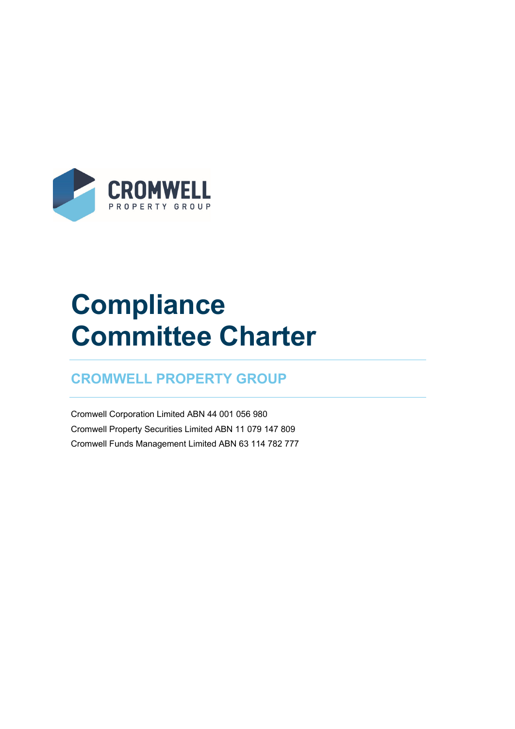

# **Compliance Committee Charter**

### **CROMWELL PROPERTY GROUP**

Cromwell Corporation Limited ABN 44 001 056 980 Cromwell Property Securities Limited ABN 11 079 147 809 Cromwell Funds Management Limited ABN 63 114 782 777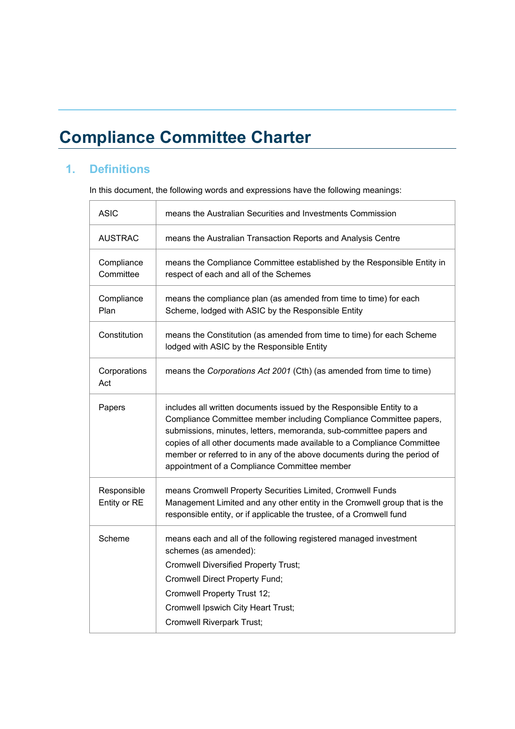## **Compliance Committee Charter**

#### **1. Definitions**

In this document, the following words and expressions have the following meanings:

| <b>ASIC</b>                 | means the Australian Securities and Investments Commission                                                                                                                                                                                                                                                                                                                                                             |
|-----------------------------|------------------------------------------------------------------------------------------------------------------------------------------------------------------------------------------------------------------------------------------------------------------------------------------------------------------------------------------------------------------------------------------------------------------------|
| <b>AUSTRAC</b>              | means the Australian Transaction Reports and Analysis Centre                                                                                                                                                                                                                                                                                                                                                           |
| Compliance<br>Committee     | means the Compliance Committee established by the Responsible Entity in<br>respect of each and all of the Schemes                                                                                                                                                                                                                                                                                                      |
| Compliance<br>Plan          | means the compliance plan (as amended from time to time) for each<br>Scheme, lodged with ASIC by the Responsible Entity                                                                                                                                                                                                                                                                                                |
| Constitution                | means the Constitution (as amended from time to time) for each Scheme<br>lodged with ASIC by the Responsible Entity                                                                                                                                                                                                                                                                                                    |
| Corporations<br>Act         | means the Corporations Act 2001 (Cth) (as amended from time to time)                                                                                                                                                                                                                                                                                                                                                   |
| Papers                      | includes all written documents issued by the Responsible Entity to a<br>Compliance Committee member including Compliance Committee papers,<br>submissions, minutes, letters, memoranda, sub-committee papers and<br>copies of all other documents made available to a Compliance Committee<br>member or referred to in any of the above documents during the period of<br>appointment of a Compliance Committee member |
| Responsible<br>Entity or RE | means Cromwell Property Securities Limited, Cromwell Funds<br>Management Limited and any other entity in the Cromwell group that is the<br>responsible entity, or if applicable the trustee, of a Cromwell fund                                                                                                                                                                                                        |
| Scheme                      | means each and all of the following registered managed investment<br>schemes (as amended):<br><b>Cromwell Diversified Property Trust;</b><br><b>Cromwell Direct Property Fund;</b><br>Cromwell Property Trust 12;<br>Cromwell Ipswich City Heart Trust;<br><b>Cromwell Riverpark Trust;</b>                                                                                                                            |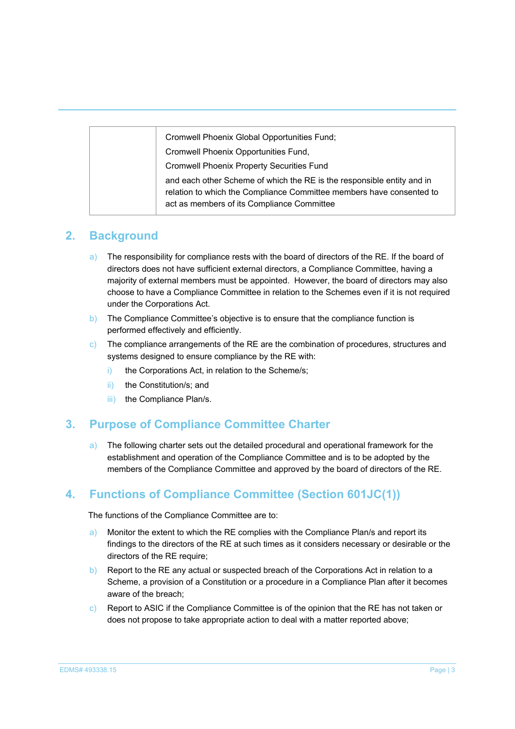| Cromwell Phoenix Global Opportunities Fund;                                                                                                                                                  |
|----------------------------------------------------------------------------------------------------------------------------------------------------------------------------------------------|
| Cromwell Phoenix Opportunities Fund,                                                                                                                                                         |
| <b>Cromwell Phoenix Property Securities Fund</b>                                                                                                                                             |
| and each other Scheme of which the RE is the responsible entity and in<br>relation to which the Compliance Committee members have consented to<br>act as members of its Compliance Committee |

#### **2. Background**

- a) The responsibility for compliance rests with the board of directors of the RE. If the board of directors does not have sufficient external directors, a Compliance Committee, having a majority of external members must be appointed. However, the board of directors may also choose to have a Compliance Committee in relation to the Schemes even if it is not required under the Corporations Act.
- b) The Compliance Committee's objective is to ensure that the compliance function is performed effectively and efficiently.
- $\circ$ ) The compliance arrangements of the RE are the combination of procedures, structures and systems designed to ensure compliance by the RE with:
	- i) the Corporations Act, in relation to the Scheme/s;
	- ii) the Constitution/s; and
	- iii) the Compliance Plan/s.

#### **3. Purpose of Compliance Committee Charter**

a) The following charter sets out the detailed procedural and operational framework for the establishment and operation of the Compliance Committee and is to be adopted by the members of the Compliance Committee and approved by the board of directors of the RE.

#### **4. Functions of Compliance Committee (Section 601JC(1))**

The functions of the Compliance Committee are to:

- a) Monitor the extent to which the RE complies with the Compliance Plan/s and report its findings to the directors of the RE at such times as it considers necessary or desirable or the directors of the RE require;
- b) Report to the RE any actual or suspected breach of the Corporations Act in relation to a Scheme, a provision of a Constitution or a procedure in a Compliance Plan after it becomes aware of the breach;
- c) Report to ASIC if the Compliance Committee is of the opinion that the RE has not taken or does not propose to take appropriate action to deal with a matter reported above;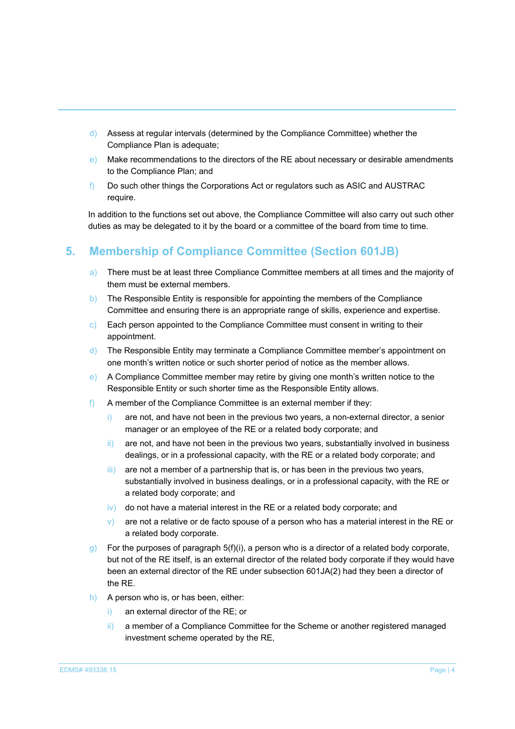- d) Assess at regular intervals (determined by the Compliance Committee) whether the Compliance Plan is adequate;
- e) Make recommendations to the directors of the RE about necessary or desirable amendments to the Compliance Plan; and
- f) Do such other things the Corporations Act or regulators such as ASIC and AUSTRAC require.

In addition to the functions set out above, the Compliance Committee will also carry out such other duties as may be delegated to it by the board or a committee of the board from time to time.

#### **5. Membership of Compliance Committee (Section 601JB)**

- a) There must be at least three Compliance Committee members at all times and the majority of them must be external members.
- b) The Responsible Entity is responsible for appointing the members of the Compliance Committee and ensuring there is an appropriate range of skills, experience and expertise.
- c) Each person appointed to the Compliance Committee must consent in writing to their appointment.
- d) The Responsible Entity may terminate a Compliance Committee member's appointment on one month's written notice or such shorter period of notice as the member allows.
- e) A Compliance Committee member may retire by giving one month's written notice to the Responsible Entity or such shorter time as the Responsible Entity allows.
- f) A member of the Compliance Committee is an external member if they:
	- i) are not, and have not been in the previous two years, a non-external director, a senior manager or an employee of the RE or a related body corporate; and
	- ii) are not, and have not been in the previous two years, substantially involved in business dealings, or in a professional capacity, with the RE or a related body corporate; and
	- iii) are not a member of a partnership that is, or has been in the previous two years, substantially involved in business dealings, or in a professional capacity, with the RE or a related body corporate; and
	- $\overline{iv}$  do not have a material interest in the RE or a related body corporate; and
	- $\mathbf{v}$ ) are not a relative or de facto spouse of a person who has a material interest in the RE or a related body corporate.
- $g$ ) For the purposes of paragraph 5(f)(i), a person who is a director of a related body corporate, but not of the RE itself, is an external director of the related body corporate if they would have been an external director of the RE under subsection 601JA(2) had they been a director of the RE.
- h) A person who is, or has been, either:
	- an external director of the RE; or
	- ii) a member of a Compliance Committee for the Scheme or another registered managed investment scheme operated by the RE,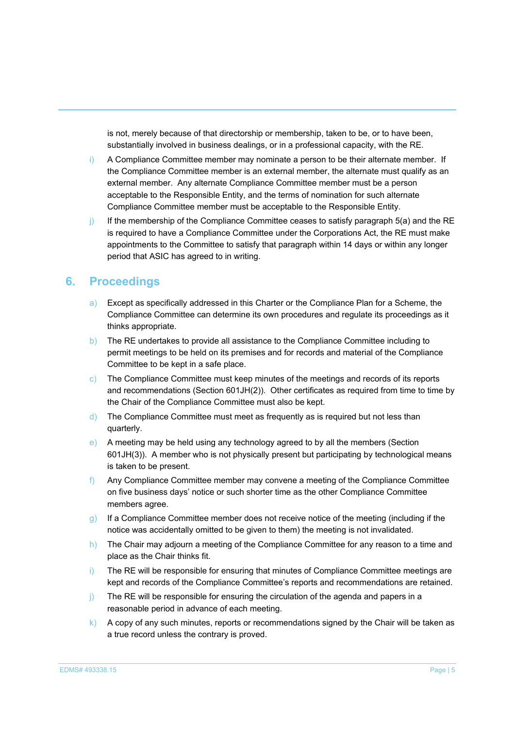is not, merely because of that directorship or membership, taken to be, or to have been, substantially involved in business dealings, or in a professional capacity, with the RE.

- i) A Compliance Committee member may nominate a person to be their alternate member. If the Compliance Committee member is an external member, the alternate must qualify as an external member. Any alternate Compliance Committee member must be a person acceptable to the Responsible Entity, and the terms of nomination for such alternate Compliance Committee member must be acceptable to the Responsible Entity.
- j) If the membership of the Compliance Committee ceases to satisfy paragraph 5(a) and the RE is required to have a Compliance Committee under the Corporations Act, the RE must make appointments to the Committee to satisfy that paragraph within 14 days or within any longer period that ASIC has agreed to in writing.

#### **6. Proceedings**

- a) Except as specifically addressed in this Charter or the Compliance Plan for a Scheme, the Compliance Committee can determine its own procedures and regulate its proceedings as it thinks appropriate.
- b) The RE undertakes to provide all assistance to the Compliance Committee including to permit meetings to be held on its premises and for records and material of the Compliance Committee to be kept in a safe place.
- c) The Compliance Committee must keep minutes of the meetings and records of its reports and recommendations (Section 601JH(2)). Other certificates as required from time to time by the Chair of the Compliance Committee must also be kept.
- d) The Compliance Committee must meet as frequently as is required but not less than quarterly.
- e) A meeting may be held using any technology agreed to by all the members (Section 601JH(3)). A member who is not physically present but participating by technological means is taken to be present.
- f) Any Compliance Committee member may convene a meeting of the Compliance Committee on five business days' notice or such shorter time as the other Compliance Committee members agree.
- g) If a Compliance Committee member does not receive notice of the meeting (including if the notice was accidentally omitted to be given to them) the meeting is not invalidated.
- h) The Chair may adjourn a meeting of the Compliance Committee for any reason to a time and place as the Chair thinks fit.
- i) The RE will be responsible for ensuring that minutes of Compliance Committee meetings are kept and records of the Compliance Committee's reports and recommendations are retained.
- j) The RE will be responsible for ensuring the circulation of the agenda and papers in a reasonable period in advance of each meeting.
- k) A copy of any such minutes, reports or recommendations signed by the Chair will be taken as a true record unless the contrary is proved.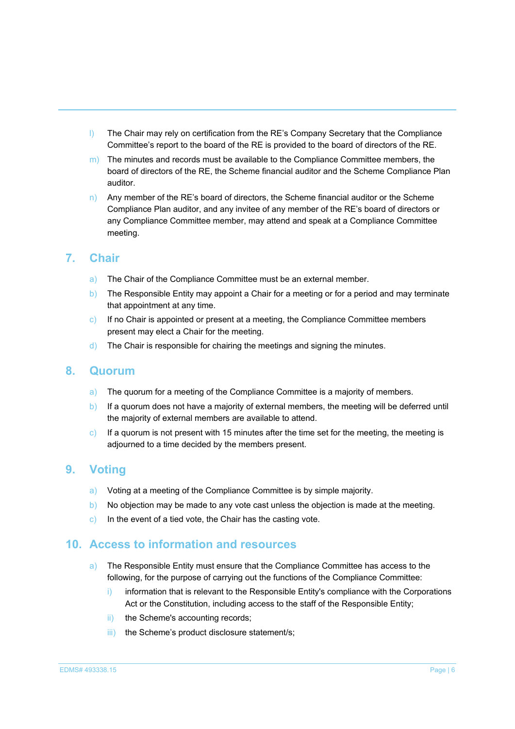- l) The Chair may rely on certification from the RE's Company Secretary that the Compliance Committee's report to the board of the RE is provided to the board of directors of the RE.
- $\vert$  m) The minutes and records must be available to the Compliance Committee members, the board of directors of the RE, the Scheme financial auditor and the Scheme Compliance Plan auditor.
- n) Any member of the RE's board of directors, the Scheme financial auditor or the Scheme Compliance Plan auditor, and any invitee of any member of the RE's board of directors or any Compliance Committee member, may attend and speak at a Compliance Committee meeting.

#### **7. Chair**

- a) The Chair of the Compliance Committee must be an external member.
- b) The Responsible Entity may appoint a Chair for a meeting or for a period and may terminate that appointment at any time.
- c) If no Chair is appointed or present at a meeting, the Compliance Committee members present may elect a Chair for the meeting.
- d) The Chair is responsible for chairing the meetings and signing the minutes.

#### **8. Quorum**

- a) The quorum for a meeting of the Compliance Committee is a majority of members.
- b) If a quorum does not have a majority of external members, the meeting will be deferred until the majority of external members are available to attend.
- c) If a quorum is not present with 15 minutes after the time set for the meeting, the meeting is adjourned to a time decided by the members present.

#### **9. Voting**

- a) Voting at a meeting of the Compliance Committee is by simple majority.
- b) No objection may be made to any vote cast unless the objection is made at the meeting.
- c) In the event of a tied vote, the Chair has the casting vote.

#### **10. Access to information and resources**

- a) The Responsible Entity must ensure that the Compliance Committee has access to the following, for the purpose of carrying out the functions of the Compliance Committee:
	- $i)$  information that is relevant to the Responsible Entity's compliance with the Corporations Act or the Constitution, including access to the staff of the Responsible Entity;
	- ii) the Scheme's accounting records;
	- iii) the Scheme's product disclosure statement/s;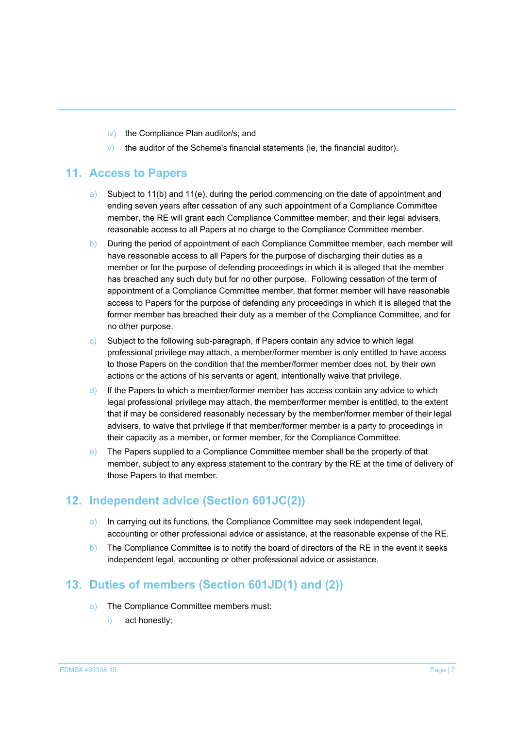- iv) the Compliance Plan auditor/s; and
- $\vee$  the auditor of the Scheme's financial statements (ie, the financial auditor).

#### **11. Access to Papers**

- a) Subject to 11(b) and 11(e), during the period commencing on the date of appointment and ending seven years after cessation of any such appointment of a Compliance Committee member, the RE will grant each Compliance Committee member, and their legal advisers, reasonable access to all Papers at no charge to the Compliance Committee member.
- b) During the period of appointment of each Compliance Committee member, each member will have reasonable access to all Papers for the purpose of discharging their duties as a member or for the purpose of defending proceedings in which it is alleged that the member has breached any such duty but for no other purpose. Following cessation of the term of appointment of a Compliance Committee member, that former member will have reasonable access to Papers for the purpose of defending any proceedings in which it is alleged that the former member has breached their duty as a member of the Compliance Committee, and for no other purpose.
- c) Subject to the following sub-paragraph, if Papers contain any advice to which legal professional privilege may attach, a member/former member is only entitled to have access to those Papers on the condition that the member/former member does not, by their own actions or the actions of his servants or agent, intentionally waive that privilege.
- d) If the Papers to which a member/former member has access contain any advice to which legal professional privilege may attach, the member/former member is entitled, to the extent that if may be considered reasonably necessary by the member/former member of their legal advisers, to waive that privilege if that member/former member is a party to proceedings in their capacity as a member, or former member, for the Compliance Committee.
- e) The Papers supplied to a Compliance Committee member shall be the property of that member, subject to any express statement to the contrary by the RE at the time of delivery of those Papers to that member.

#### **12. Independent advice (Section 601JC(2))**

- a) In carrying out its functions, the Compliance Committee may seek independent legal, accounting or other professional advice or assistance, at the reasonable expense of the RE.
- b) The Compliance Committee is to notify the board of directors of the RE in the event it seeks independent legal, accounting or other professional advice or assistance.

#### **13. Duties of members (Section 601JD(1) and (2))**

- a) The Compliance Committee members must:
	- i) act honestly;